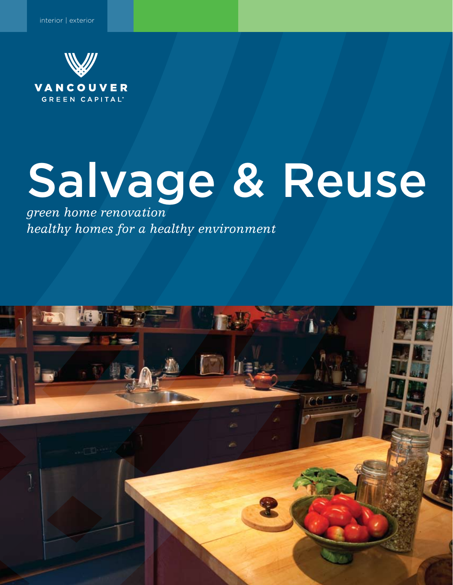

# Salvage & Reuse

*green home renovation healthy homes for a healthy environment*

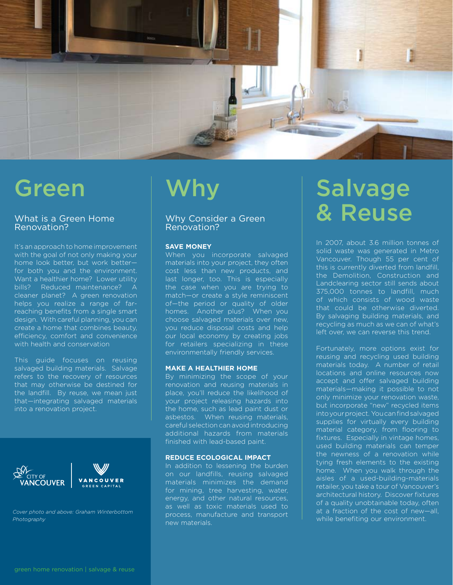

### Green

#### What is a Green Home Renovation?

It's an approach to home improvement with the goal of not only making your home look better, but work better for both you and the environment. Want a healthier home? Lower utility bills? Reduced maintenance? A cleaner planet? A green renovation helps you realize a range of farreaching benefits from a single smart design. With careful planning, you can create a home that combines beauty, efficiency, comfort and convenience with health and conservation

This guide focuses on reusing salvaged building materials. Salvage refers to the recovery of resources that may otherwise be destined for the landfill. By reuse, we mean just that—integrating salvaged materials into a renovation project.



*Cover photo and above: Graham Winterbottom Photography*

### Why

### Why Consider a Green Renovation?

#### **Save money**

When you incorporate salvaged materials into your project, they often cost less than new products, and last longer, too. This is especially the case when you are trying to match—or create a style reminiscent of—the period or quality of older homes. Another plus? When you choose salvaged materials over new, you reduce disposal costs and help our local economy by creating jobs for retailers specializing in these environmentally friendly services.

#### **Make a healthier home**

By minimizing the scope of your renovation and reusing materials in place, you'll reduce the likelihood of your project releasing hazards into the home, such as lead paint dust or asbestos. When reusing materials, careful selection can avoid introducing additional hazards from materials finished with lead-based paint.

#### **Reduce ecological impact**

In addition to lessening the burden on our landfills, reusing salvaged materials minimizes the demand for mining, tree harvesting, water, energy, and other natural resources, as well as toxic materials used to process, manufacture and transport new materials.

### **Salvage** & Reuse

In 2007, about 3.6 million tonnes of solid waste was generated in Metro Vancouver. Though 55 per cent of this is currently diverted from landfill, the Demolition, Construction and Landclearing sector still sends about 375,000 tonnes to landfill, much of which consists of wood waste that could be otherwise diverted. By salvaging building materials, and recycling as much as we can of what's left over, we can reverse this trend.

Fortunately, more options exist for reusing and recycling used building materials today. A number of retail locations and online resources now accept and offer salvaged building materials—making it possible to not only minimize your renovation waste, but incorporate "new" recycled items into your project. You can find salvaged supplies for virtually every building material category, from flooring to fixtures. Especially in vintage homes, used building materials can temper the newness of a renovation while tying fresh elements to the existing home. When you walk through the aisles of a used-building-materials retailer, you take a tour of Vancouver's architectural history. Discover fixtures of a quality unobtainable today, often at a fraction of the cost of new—all, while benefiting our environment.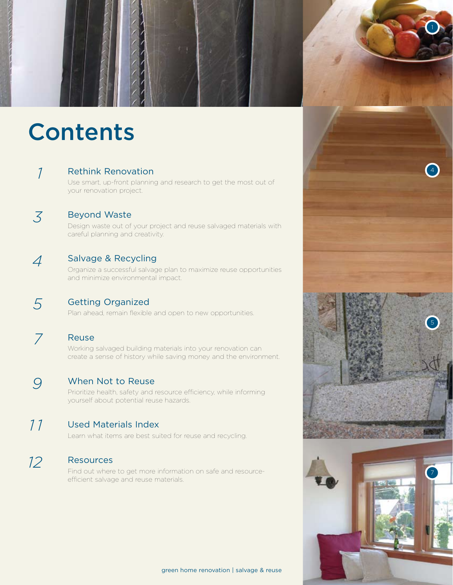

# Contents

*1*

Rethink Renovation

Use smart, up-front planning and research to get the most out of your renovation project.

Beyond Waste Design waste out of your project and reuse salvaged materials with careful planning and creativity.

*4*

*5*

*3*

### Salvage & Recycling

Organize a successful salvage plan to maximize reuse opportunities and minimize environmental impact.

- Getting Organized Plan ahead, remain flexible and open to new opportunities.
- *7*

### Reuse

Working salvaged building materials into your renovation can create a sense of history while saving money and the environment.

When Not to Reuse *9*

Prioritize health, safety and resource efficiency, while informing yourself about potential reuse hazards.

#### Used Materials Index *1 1*

Learn what items are best suited for reuse and recycling.

#### **Resources** *12*

Find out where to get more information on safe and resourceefficient salvage and reuse materials.

green home renovation | salvage & reuse

7

5

1

4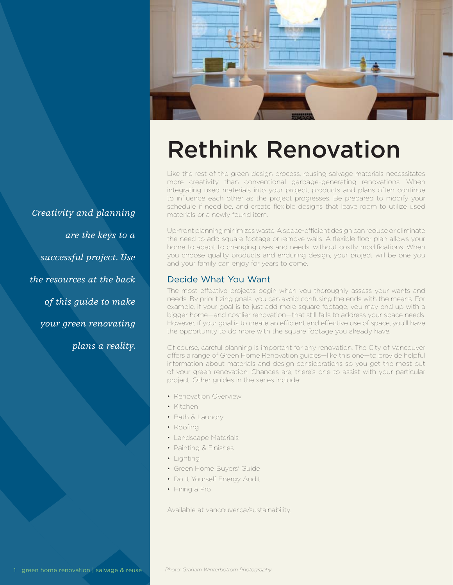

### Rethink Renovation

Like the rest of the green design process, reusing salvage materials necessitates more creativity than conventional garbage-generating renovations. When integrating used materials into your project, products and plans often continue to influence each other as the project progresses. Be prepared to modify your schedule if need be, and create flexible designs that leave room to utilize used materials or a newly found item.

Up-front planning minimizes waste. A space-efficient design can reduce or eliminate the need to add square footage or remove walls. A flexible floor plan allows your home to adapt to changing uses and needs, without costly modifications. When you choose quality products and enduring design, your project will be one you and your family can enjoy for years to come.

### Decide What You Want

The most effective projects begin when you thoroughly assess your wants and needs. By prioritizing goals, you can avoid confusing the ends with the means. For example, if your goal is to just add more square footage, you may end up with a bigger home—and costlier renovation—that still fails to address your space needs. However, if your goal is to create an efficient and effective use of space, you'll have the opportunity to do more with the square footage you already have.

Of course, careful planning is important for any renovation. The City of Vancouver offers a range of Green Home Renovation guides—like this one—to provide helpful information about materials and design considerations so you get the most out of your green renovation. Chances are, there's one to assist with your particular project. Other guides in the series include:

- Renovation Overview
- Kitchen
- Bath & Laundry
- Roofing
- Landscape Materials
- Painting & Finishes
- Lighting
- Green Home Buyers' Guide
- Do It Yourself Energy Audit
- Hiring a Pro

Available at vancouver.ca/sustainability.

*Creativity and planning are the keys to a successful project. Use the resources at the back of this guide to make your green renovating plans a reality.*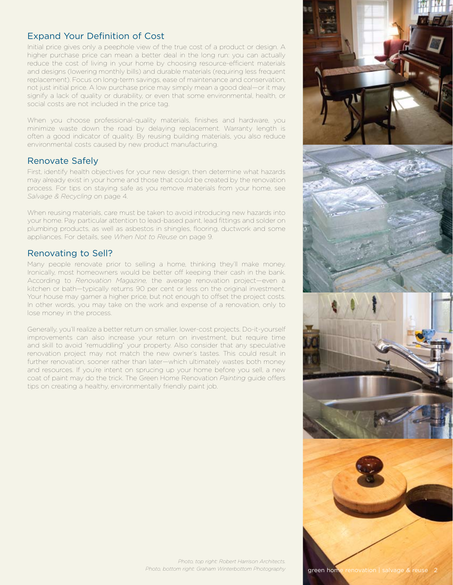### Expand Your Definition of Cost

Initial price gives only a peephole view of the true cost of a product or design. A higher purchase price can mean a better deal in the long run: you can actually reduce the cost of living in your home by choosing resource-efficient materials and designs (lowering monthly bills) and durable materials (requiring less frequent replacement). Focus on long-term savings, ease of maintenance and conservation, not just initial price. A low purchase price may simply mean a good deal—or it may signify a lack of quality or durability, or even that some environmental, health, or social costs are not included in the price tag.

When you choose professional-quality materials, finishes and hardware, you minimize waste down the road by delaying replacement. Warranty length is often a good indicator of quality. By reusing building materials, you also reduce environmental costs caused by new product manufacturing.

### Renovate Safely

First, identify health objectives for your new design, then determine what hazards may already exist in your home and those that could be created by the renovation process. For tips on staying safe as you remove materials from your home, see *Salvage & Recycling* on page 4.

When reusing materials, care must be taken to avoid introducing new hazards into your home. Pay particular attention to lead-based paint, lead fittings and solder on plumbing products, as well as asbestos in shingles, flooring, ductwork and some appliances. For details, see *When Not to Reuse* on page 9.

### Renovating to Sell?

Many people renovate prior to selling a home, thinking they'll make money. Ironically, most homeowners would be better off keeping their cash in the bank. According to *Renovation Magazine,* the average renovation project—even a kitchen or bath—typically returns 90 per cent or less on the original investment. Your house may garner a higher price, but not enough to offset the project costs. In other words, you may take on the work and expense of a renovation, only to lose money in the process.

Generally, you'll realize a better return on smaller, lower-cost projects. Do-it-yourself improvements can also increase your return on investment, but require time and skill to avoid "remuddling" your property. Also consider that any speculative renovation project may not match the new owner's tastes. This could result in further renovation, sooner rather than later—which ultimately wastes both money and resources. If you're intent on sprucing up your home before you sell, a new coat of paint may do the trick. The Green Home Renovation *Painting* guide offers tips on creating a healthy, environmentally friendly paint job.

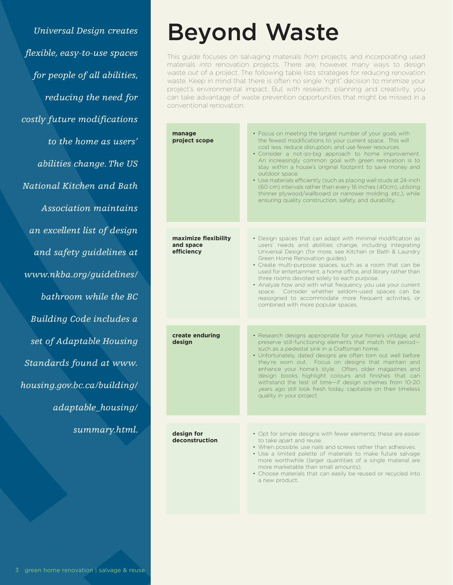*Universal Design creates flexible, easy-to-use spaces for people of all abilities, reducing the need for costly future modifications to the home as users' abilities change. The US National Kitchen and Bath Association maintains an excellent list of design and safety guidelines at www.nkba.org/guidelines/ bathroom while the BC Building Code includes a set of Adaptable Housing Standards found at www. housing.gov.bc.ca/building/ adaptable\_housing/ summary.html.* 

### Beyond Waste

This guide focuses on salvaging materials *from* projects, and incorporating used materials *into* renovation projects. There are, however, many ways to design waste *out* of a project. The following table lists strategies for reducing renovation waste. Keep in mind that there is often no single "right" decision to minimize your project's environmental impact. But with research, planning and creativity, you can take advantage of waste prevention opportunities that might be missed in a conventional renovation.

| manage<br>project scope                         | • Focus on meeting the largest number of your goals with<br>the fewest modifications to your current space. This will<br>cost less, reduce disruption, and use fewer resources.<br>· Consider a not-so-big approach to home improvement.<br>An increasingly common goal with green renovation is to<br>stay within a house's original footprint to save money and<br>outdoor space.<br>• Use materials efficiently (such as placing wall studs at 24-inch<br>(60 cm) intervals rather than every 16 inches (40cm), utilizing<br>thinner plywood/wallboard or narrower molding, etc.), while<br>ensuring quality construction, safety, and durability. |
|-------------------------------------------------|-------------------------------------------------------------------------------------------------------------------------------------------------------------------------------------------------------------------------------------------------------------------------------------------------------------------------------------------------------------------------------------------------------------------------------------------------------------------------------------------------------------------------------------------------------------------------------------------------------------------------------------------------------|
| maximize flexibility<br>and space<br>efficiency | • Design spaces that can adapt with minimal modification as<br>users' needs and abilities change, including integrating<br>Universal Design (for more, see Kitchen or Bath & Laundry<br>Green Home Renovation guides).<br>• Create multi-purpose spaces, such as a room that can be<br>used for entertainment, a home office, and library rather than<br>three rooms devoted solely to each purpose.<br>• Analyze how and with what frequency you use your current<br>space. Consider whether seldom-used spaces can be<br>reassigned to accommodate more frequent activities, or<br>combined with more popular spaces.                               |
|                                                 |                                                                                                                                                                                                                                                                                                                                                                                                                                                                                                                                                                                                                                                       |
| create enduring<br>desian                       | · Research designs appropriate for your home's vintage, and<br>preserve still-functioning elements that match the period-<br>such as a pedestal sink in a Craftsman home.<br>· Unfortunately, dated designs are often torn out well before<br>they're worn out. Focus on designs that maintain and<br>enhance your home's style. Often, older magazines and<br>design books highlight colours and finishes that can<br>withstand the test of time-if design schemes from 10-20<br>years ago still look fresh today, capitalize on their timeless<br>quality in your project.                                                                          |
|                                                 |                                                                                                                                                                                                                                                                                                                                                                                                                                                                                                                                                                                                                                                       |
| design for<br>deconstruction                    | • Opt for simple designs with fewer elements; these are easier<br>to take apart and reuse.<br>• When possible, use nails and screws rather than adhesives.<br>· Use a limited palette of materials to make future salvage<br>more worthwhile (larger quantities of a single material are<br>more marketable than small amounts).<br>• Choose materials that can easily be reused or recycled into<br>a new product.                                                                                                                                                                                                                                   |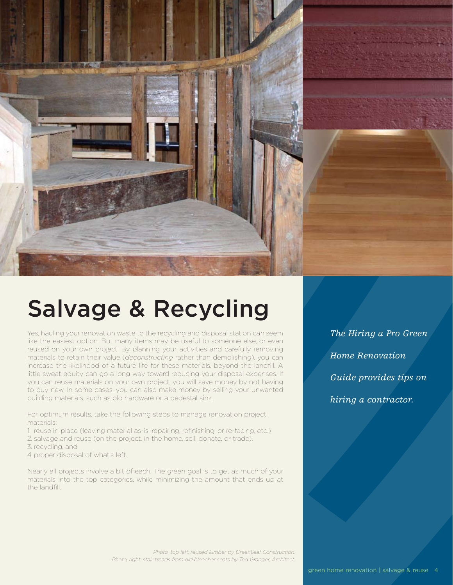

### Salvage & Recycling

Yes, hauling your renovation waste to the recycling and disposal station can seem like the easiest option. But many items may be useful to someone else, or even reused on your own project. By planning your activities and carefully removing materials to retain their value (*deconstructing* rather than demolishing), you can increase the likelihood of a future life for these materials, beyond the landfill. A little sweat equity can go a long way toward reducing your disposal expenses. If you can reuse materials on your own project, you will save money by not having to buy new. In some cases, you can also make money by selling your unwanted building materials, such as old hardware or a pedestal sink.

For optimum results, take the following steps to manage renovation project materials:

- 1. reuse in place (leaving material as-is, repairing, refinishing, or re-facing, etc.)
- 2. salvage and reuse (on the project, in the home, sell, donate, or trade),
- 3. recycling, and
- 4. proper disposal of what's left.

Nearly all projects involve a bit of each. The green goal is to get as much of your materials into the top categories, while minimizing the amount that ends up at the landfill.

*The Hiring a Pro Green Home Renovation Guide provides tips on hiring a contractor.*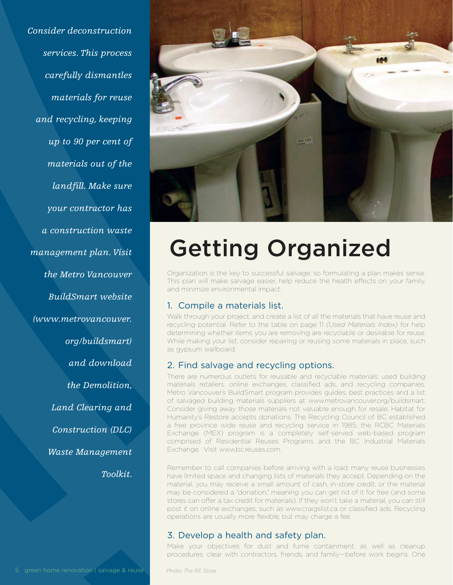*Consider deconstruction services. This process carefully dismantles materials for reuse and recycling, keeping up to 90 per cent of materials out of the landfill. Make sure your contractor has a construction waste management plan. Visit the Metro Vancouver BuildSmart website (www.metrovancouver. org/buildsmart) and download the Demolition, Land Clearing and Construction (DLC) Waste Management Toolkit.*



# Getting Organized

Organization is the key to successful salvage, so formulating a plan makes sense. This plan will make salvage easier, help reduce the health effects on your family, and minimize environmental impact.

### 1. Compile a materials list.

Walk through your project, and create a list of all the materials that have reuse and recycling potential. Refer to the table on page 11 *(Used Materials Index)* for help determining whether items you are removing are recyclable or desirable for reuse. While making your list, consider repairing or reusing some materials in place, such as gypsum wallboard.

### 2. Find salvage and recycling options.

There are numerous outlets for reusable and recyclable materials: used building materials retailers, online exchanges, classified ads, and recycling companies. Metro Vancouver's BuildSmart program provides guides, best practices and a list of salvaged building materials suppliers at www.metrovancouver.org/buildsmart. Consider giving away those materials not valuable enough for resale; Habitat for Humanity's Restore accepts donations. The Recycling Council of BC established a free province wide reuse and recycling service in 1985; the RCBC Materials Exchange (MEX) program is a completely self-served web-based program comprised of Residential Reuses Programs and the BC Industrial Materials Exchange. Visit www.bc.reuses.com.

Remember to call companies before arriving with a load; many reuse businesses have limited space and changing lists of materials they accept. Depending on the material, you may receive a small amount of cash, in-store credit, or the material may be considered a "donation," meaning you can get rid of it for free (and some stores can offer a tax credit for materials). If they won't take a material, you can still post it on online exchanges, such as www.craigslist.ca or classified ads. Recycling operations are usually more flexible, but may charge a fee.

### 3. Develop a health and safety plan.

Make your objectives for dust and fume containment, as well as cleanup procedures, clear with contractors, friends, and family—before work begins. One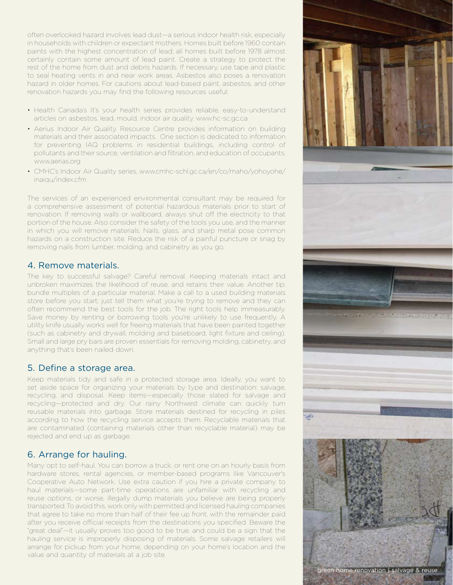often overlooked hazard involves lead dust—a serious indoor health risk, especially in households with children or expectant mothers. Homes built before 1960 contain paints with the highest concentration of lead; all homes built before 1978 almost certainly contain some amount of lead paint. Create a strategy to protect the rest of the home from dust and debris hazards. If necessary, use tape and plastic to seal heating vents in and near work areas. Asbestos also poses a renovation hazard in older homes. For cautions about lead-based paint, asbestos, and other renovation hazards you may find the following resources useful:

- Health Canada's It's your health series provides reliable, easy-to-understand articles on asbestos, lead, mould, indoor air quality. www.hc-sc.gc.ca
- Aerius Indoor Air Quality Resource Centre provides information on building materials and their associated impacts. One section is dedicated to information for preventing IAQ problems in residential buildings, including control of pollutants and their source, ventilation and filtration, and education of occupants. www.aerias.org
- CMHC's Indoor Air Quality series, www.cmhc-schl.gc.ca/en/co/maho/yohoyohe/ inaiqu/index.cfm

The services of an experienced environmental consultant may be required for a comprehensive assessment of potential hazardous materials prior to start of renovation. If removing walls or wallboard, always shut off the electricity to that portion of the house. Also consider the safety of the tools you use, and the manner in which you will remove materials. Nails, glass, and sharp metal pose common hazards on a construction site. Reduce the risk of a painful puncture or snag by removing nails from lumber, molding, and cabinetry as you go.

### 4. Remove materials.

The key to successful salvage? Careful removal. Keeping materials intact and unbroken maximizes the likelihood of reuse, and retains their value. Another tip: bundle multiples of a particular material. Make a call to a used building materials store before you start; just tell them what you're trying to remove and they can often recommend the best tools for the job. The right tools help immeasurably. Save money by renting or borrowing tools you're unlikely to use frequently. A utility knife usually works well for freeing materials that have been painted together (such as cabinetry and drywall, molding and baseboard, light fixture and ceiling). Small and large pry bars are proven essentials for removing molding, cabinetry, and anything that's been nailed down.

### 5. Define a storage area.

Keep materials tidy and safe in a protected storage area. Ideally, you want to set aside space for organizing your materials by type and destination: salvage, recycling, and disposal. Keep items—especially those slated for salvage and recycling—protected and dry. Our rainy Northwest climate can quickly turn reusable materials into garbage. Store materials destined for recycling in piles according to how the recycling service accepts them. Recyclable materials that are contaminated (containing materials other than recyclable material) may be rejected and end up as garbage.

### 6. Arrange for hauling.

Many opt to self-haul. You can borrow a truck, or rent one on an hourly basis from hardware stores, rental agencies, or member-based programs like Vancouver's Cooperative Auto Network. Use extra caution if you hire a private company to haul materials—some part-time operations are unfamiliar with recycling and reuse options, or worse, illegally dump materials you believe are being properly transported. To avoid this, work only with permitted and licensed hauling companies that agree to take no more than half of their fee up front, with the remainder paid after you receive official receipts from the destinations you specified. Beware the "great deal"—it usually proves too good to be true, and could be a sign that the hauling service is improperly disposing of materials. Some salvage retailers will arrange for pickup from your home, depending on your home's location and the value and quantity of materials at a job site.

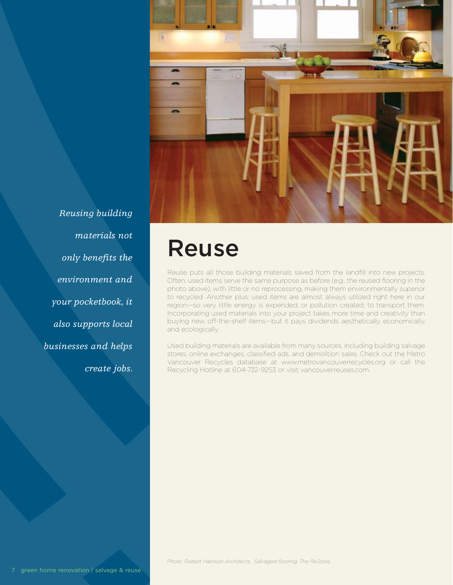

*Reusing building materials not only benefits the environment and your pocketbook, it also supports local businesses and helps create jobs.*

### Reuse

Reuse puts all those building materials saved from the landfill into new projects. Often, used items serve the same purpose as before (e.g., the reused flooring in the photo above), with little or no reprocessing, making them environmentally superior to recycled. Another plus: used items are almost always utilized right here in our region—so very little energy is expended, or pollution created, to transport them. Incorporating used materials into your project takes more time and creativity than buying new, off-the-shelf items—but it pays dividends aesthetically, economically, and ecologically.

Used building materials are available from many sources, including building salvage stores, online exchanges, classified ads, and demolition sales. Check out the Metro Vancouver Recycles database at www.metrovancouverrecycles.org or call the Recycling Hotline at 604-732-9253 or visit vancouver.reuses.com.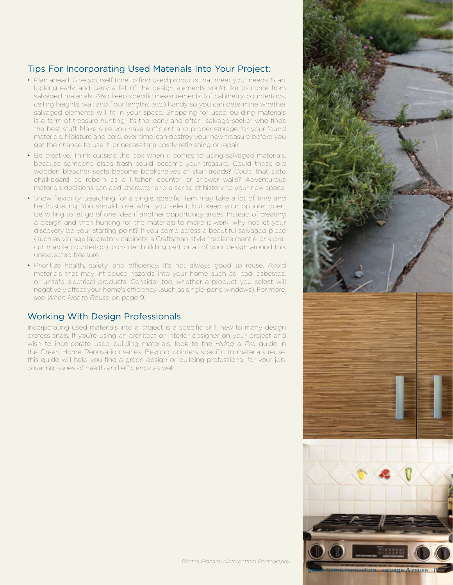### Tips For Incorporating Used Materials Into Your Project:

- Plan ahead. Give yourself time to find used products that meet your needs. Start looking early, and carry a list of the design elements you'd like to come from salvaged materials. Also keep specific measurements (of cabinetry, countertops, ceiling heights, wall and floor lengths, etc.) handy so you can determine whether salvaged elements will fit in your space. Shopping for used building materials is a form of treasure hunting: it's the "early and often" salvage-seeker who finds the best stuff. Make sure you have sufficient and proper storage for your found materials. Moisture and cold, over time, can destroy your new treasure before you get the chance to use it, or necessitate costly refinishing or repair.
- Be creative. Think outside the box when it comes to using salvaged materials, because someone else's trash could become your treasure. Could those old wooden bleacher seats become bookshelves or stair treads? Could that slate chalkboard be reborn as a kitchen counter or shower walls? Adventurous materials decisions can add character and a sense of history to your new space.
- Show flexibility. Searching for a single, specific item may take a lot of time and be frustrating. You should love what you select, but keep your options open. Be willing to let go of one idea if another opportunity arises. Instead of creating a design and then hunting for the materials to make it work, why not let your discovery be your starting point? If you come across a beautiful salvaged piece (such as vintage laboratory cabinets, a Craftsman-style fireplace mantle, or a precut marble countertop), consider building part or all of your design around this unexpected treasure.
- Prioritize health, safety, and efficiency. It's not always good to reuse. Avoid materials that may introduce hazards into your home such as lead, asbestos, or unsafe electrical products. Consider too, whether a product you select will negatively affect your home's efficiency (such as single-pane windows). For more, see *When Not to Reuse* on page 9.

### Working With Design Professionals

Incorporating used materials into a project is a specific skill, new to many design professionals. If you're using an architect or interior designer on your project and wish to incorporate used building materials, look to the *Hiring a Pro* guide in the Green Home Renovation series. Beyond pointers specific to materials reuse, this guide will help you find a green design or building professional for your job, covering issues of health and efficiency as well.

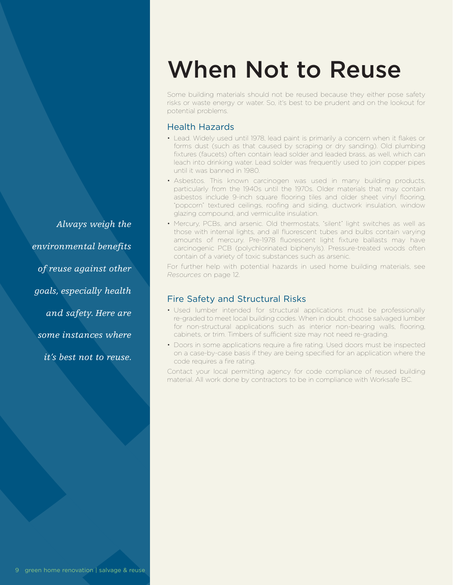*Always weigh the environmental benefits of reuse against other goals, especially health and safety. Here are some instances where it's best not to reuse.*

### When Not to Reuse

Some building materials should not be reused because they either pose safety risks or waste energy or water. So, it's best to be prudent and on the lookout for potential problems.

#### Health Hazards

- Lead. Widely used until 1978, lead paint is primarily a concern when it flakes or forms dust (such as that caused by scraping or dry sanding). Old plumbing fixtures (faucets) often contain lead solder and leaded brass, as well, which can leach into drinking water. Lead solder was frequently used to join copper pipes until it was banned in 1980.
- Asbestos. This known carcinogen was used in many building products, particularly from the 1940s until the 1970s. Older materials that may contain asbestos include 9-inch square flooring tiles and older sheet vinyl flooring, "popcorn" textured ceilings, roofing and siding, ductwork insulation, window glazing compound, and vermiculite insulation.
- Mercury, PCBs, and arsenic. Old thermostats, "silent" light switches as well as those with internal lights, and all fluorescent tubes and bulbs contain varying amounts of mercury. Pre-1978 fluorescent light fixture ballasts may have carcinogenic PCB (polychlorinated biphenyls). Pressure-treated woods often contain of a variety of toxic substances such as arsenic.

For further help with potential hazards in used home building materials, see *Resources* on page 12.

#### Fire Safety and Structural Risks

- Used lumber intended for structural applications must be professionally re-graded to meet local building codes. When in doubt, choose salvaged lumber for non-structural applications such as interior non-bearing walls, flooring, cabinets, or trim. Timbers of sufficient size may not need re-grading.
- Doors in some applications require a fire rating. Used doors must be inspected on a case-by-case basis if they are being specified for an application where the code requires a fire rating.

Contact your local permitting agency for code compliance of reused building material. All work done by contractors to be in compliance with Worksafe BC.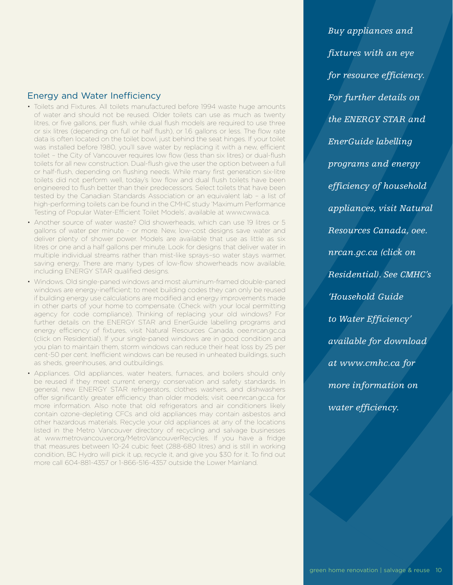### Energy and Water Inefficiency

- Toilets and Fixtures. All toilets manufactured before 1994 waste huge amounts of water and should not be reused. Older toilets can use as much as twenty litres, or five gallons, per flush, while dual flush models are required to use three or six litres (depending on full or half flush), or 1.6 gallons or less. The flow rate data is often located on the toilet bowl, just behind the seat hinges. If your toilet was installed before 1980, you'll save water by replacing it with a new, efficient toilet – the City of Vancouver requires low flow (less than six litres) or dual-flush toilets for all new construction. Dual-flush give the user the option between a full or half-flush, depending on flushing needs. While many first generation six-litre toilets did not perform well, today's low flow and dual flush toilets have been engineered to flush better than their predecessors. Select toilets that have been tested by the Canadian Standards Association or an equivalent lab – a list of high-performing toilets can be found in the CMHC study 'Maximum Performance Testing of Popular Water-Efficient Toilet Models', available at www.cwwa.ca.
- Another source of water waste? Old showerheads, which can use 19 litres or 5 gallons of water per minute - or more. New, low-cost designs save water and deliver plenty of shower power. Models are available that use as little as six litres or one and a half gallons per minute. Look for designs that deliver water in multiple individual streams rather than mist-like sprays–so water stays warmer, saving energy. There are many types of low-flow showerheads now available, including ENERGY STAR qualified designs.
- Windows. Old single-paned windows and most aluminum-framed double-paned windows are energy-inefficient; to meet building codes they can only be reused if building energy use calculations are modified and energy improvements made in other parts of your home to compensate. (Check with your local permitting agency for code compliance). Thinking of replacing your old windows? For further details on the ENERGY STAR and EnerGuide labelling programs and energy efficiency of fixtures, visit Natural Resources Canada, oee.nrcan.gc.ca (click on Residential). If your single-paned windows are in good condition and you plan to maintain them, storm windows can reduce their heat loss by 25 per cent-50 per cent. Inefficient windows can be reused in unheated buildings, such as sheds, greenhouses, and outbuildings.

• Appliances. Old appliances, water heaters, furnaces, and boilers should only be reused if they meet current energy conservation and safety standards. In general, new ENERGY STAR refrigerators, clothes washers, and dishwashers offer significantly greater efficiency than older models; visit oee.nrcan.gc.ca for more information. Also note that old refrigerators and air conditioners likely contain ozone-depleting CFCs and old appliances may contain asbestos and other hazardous materials. Recycle your old appliances at any of the locations listed in the Metro Vancouver directory of recycling and salvage businesses at www.metrovancouver.org/MetroVancouverRecycles. If you have a fridge that measures between 10-24 cubic feet (288-680 litres) and is still in working condition, BC Hydro will pick it up, recycle it, and give you \$30 for it. To find out more call 604-881-4357 or 1-866-516-4357 outside the Lower Mainland.

*Buy appliances and fixtures with an eye for resource efficiency. For further details on the ENERGY STAR and EnerGuide labelling programs and energy efficiency of household appliances, visit Natural Resources Canada, oee. nrcan.gc.ca (click on Residential). See CMHC's 'Household Guide to Water Efficiency' available for download at www.cmhc.ca for more information on water efficiency.*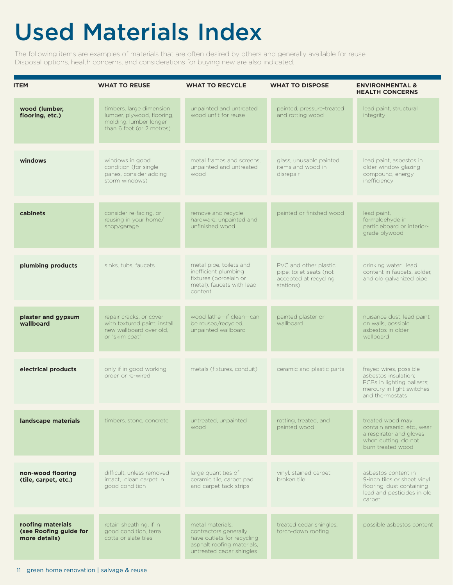## Used Materials Index

The following items are examples of materials that are often desired by others and generally available for reuse. Disposal options, health concerns, and considerations for buying new are also indicated.

| <b>ITEM</b>                                                  | <b>WHAT TO REUSE</b>                                                                                          | <b>WHAT TO RECYCLE</b>                                                                                                            | <b>WHAT TO DISPOSE</b>                                                                 | <b>ENVIRONMENTAL &amp;</b><br><b>HEALTH CONCERNS</b>                                                                         |
|--------------------------------------------------------------|---------------------------------------------------------------------------------------------------------------|-----------------------------------------------------------------------------------------------------------------------------------|----------------------------------------------------------------------------------------|------------------------------------------------------------------------------------------------------------------------------|
| wood (lumber,<br>flooring, etc.)                             | timbers, large dimension<br>lumber, plywood, flooring,<br>molding, lumber longer<br>than 6 feet (or 2 metres) | unpainted and untreated<br>wood unfit for reuse                                                                                   | painted, pressure-treated<br>and rotting wood                                          | lead paint, structural<br>integrity                                                                                          |
| windows                                                      | windows in good<br>condition (for single<br>panes, consider adding<br>storm windows)                          | metal frames and screens.<br>unpainted and untreated<br>wood                                                                      | glass, unusable painted<br>items and wood in<br>disrepair                              | lead paint, asbestos in<br>older window glazing<br>compound, energy<br>inefficiency                                          |
| cabinets                                                     | consider re-facing, or<br>reusing in your home/<br>shop/garage                                                | remove and recycle<br>hardware, unpainted and<br>unfinished wood                                                                  | painted or finished wood                                                               | lead paint,<br>formaldehyde in<br>particleboard or interior-<br>grade plywood                                                |
| plumbing products                                            | sinks, tubs, faucets                                                                                          | metal pipe, toilets and<br>inefficient plumbing<br>fixtures (porcelain or<br>metal), faucets with lead-<br>content                | PVC and other plastic<br>pipe; toilet seats (not<br>accepted at recycling<br>stations) | drinking water: lead<br>content in faucets, solder,<br>and old galvanized pipe                                               |
| plaster and gypsum<br>wallboard                              | repair cracks, or cover<br>with textured paint, install<br>new wallboard over old.<br>or "skim coat"          | wood lathe-if clean-can<br>be reused/recycled,<br>unpainted wallboard                                                             | painted plaster or<br>wallboard                                                        | nuisance dust, lead paint<br>on walls, possible<br>asbestos in older<br>wallboard                                            |
| electrical products                                          | only if in good working<br>order, or re-wired                                                                 | metals (fixtures, conduit)                                                                                                        | ceramic and plastic parts                                                              | frayed wires, possible<br>asbestos insulation:<br>PCBs in lighting ballasts;<br>mercury in light switches<br>and thermostats |
| landscape materials                                          | timbers, stone, concrete                                                                                      | untreated, unpainted<br>wood                                                                                                      | rotting, treated, and<br>painted wood                                                  | treated wood may<br>contain arsenic, etc., wear<br>a respirator and gloves<br>when cutting; do not<br>burn treated wood      |
| non-wood flooring<br>(tile, carpet, etc.)                    | difficult, unless removed<br>intact, clean carpet in<br>good condition                                        | large quantities of<br>ceramic tile, carpet pad<br>and carpet tack strips                                                         | vinyl, stained carpet.<br>broken tile                                                  | asbestos content in<br>9-inch tiles or sheet vinyl<br>flooring, dust containing<br>lead and pesticides in old<br>carpet      |
| roofing materials<br>(see Roofing guide for<br>more details) | retain sheathing, if in<br>good condition, terra<br>cotta or slate tiles                                      | metal materials.<br>contractors generally<br>have outlets for recycling<br>asphalt roofing materials,<br>untreated cedar shingles | treated cedar shingles,<br>torch-down roofing                                          | possible asbestos content                                                                                                    |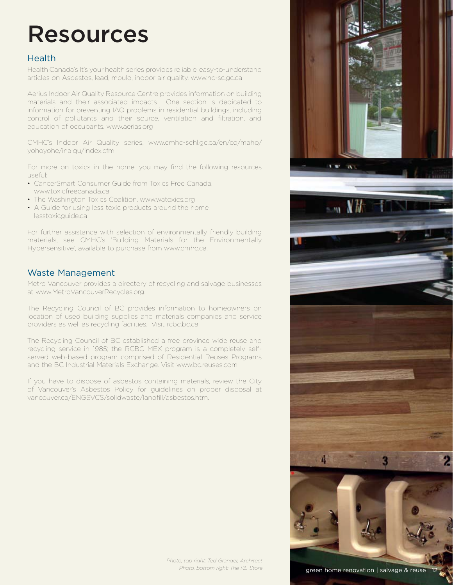### Resources

### Health

Health Canada's It's your health series provides reliable, easy-to-understand articles on Asbestos, lead, mould, indoor air quality. www.hc-sc.gc.ca

Aerius Indoor Air Quality Resource Centre provides information on building materials and their associated impacts. One section is dedicated to information for preventing IAQ problems in residential buildings, including control of pollutants and their source, ventilation and filtration, and education of occupants. www.aerias.org

CMHC's Indoor Air Quality series, www.cmhc-schl.gc.ca/en/co/maho/ yohoyohe/inaiqu/index.cfm

For more on toxics in the home, you may find the following resources useful:

- CancerSmart Consumer Guide from Toxics Free Canada, www.toxicfreecanada.ca
- The Washington Toxics Coalition, www.watoxics.org
- A Guide for using less toxic products around the home. lesstoxicguide.ca

For further assistance with selection of environmentally friendly building materials, see CMHC's 'Building Materials for the Environmentally Hypersensitive', available to purchase from www.cmhc.ca.

### Waste Management

Metro Vancouver provides a directory of recycling and salvage businesses at www.MetroVancouverRecycles.org.

The Recycling Council of BC provides information to homeowners on location of used building supplies and materials companies and service providers as well as recycling facilities. Visit rcbc.bc.ca.

The Recycling Council of BC established a free province wide reuse and recycling service in 1985; the RCBC MEX program is a completely selfserved web-based program comprised of Residential Reuses Programs and the BC Industrial Materials Exchange. Visit www.bc.reuses.com.

If you have to dispose of asbestos containing materials, review the City of Vancouver's Asbestos Policy for guidelines on proper disposal at vancouver.ca/ENGSVCS/solidwaste/landfill/asbestos.htm.



green home renovation | salvage & reuse